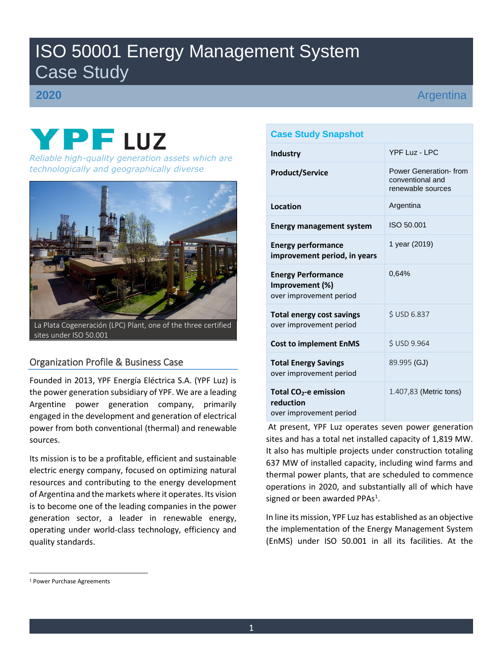# ISO 50001 Energy Management System Case Study

# **2020**

Argentina

# YPFLUZ *Reliable high-quality generation assets which are* **<b>***Reliable high-quality generation assets which are*

*technologically and geographically diverse*



La Plata Cogeneración (LPC) Plant, one of the three certified sites under ISO 50.001

# Organization Profile & Business Case

Founded in 2013, YPF Energía Eléctrica S.A. (YPF Luz) is the power generation subsidiary of YPF. We are a leading Argentine power generation company, primarily engaged in the development and generation of electrical power from both conventional (thermal) and renewable sources.

Its mission is to be a profitable, efficient and sustainable electric energy company, focused on optimizing natural resources and contributing to the energy development of Argentina and the markets where it operates. Its vision is to become one of the leading companies in the power generation sector, a leader in renewable energy, operating under world-class technology, efficiency and quality standards.

# **Case Study Snapshot Industry** YPF Luz - LPC **Product/Service** Power Generation- from conventional and renewable sources **Location Argentina Energy management system** | ISO 50.001

| <b>Energy performance</b><br>improvement period, in years                 | 1 year (2019)          |  |  |  |  |  |  |  |  |
|---------------------------------------------------------------------------|------------------------|--|--|--|--|--|--|--|--|
| <b>Energy Performance</b><br>Improvement (%)<br>over improvement period   | 0.64%                  |  |  |  |  |  |  |  |  |
| <b>Total energy cost savings</b><br>over improvement period               | <b>SUSD 6.837</b>      |  |  |  |  |  |  |  |  |
| <b>Cost to implement EnMS</b>                                             | <b>SUSD 9.964</b>      |  |  |  |  |  |  |  |  |
| <b>Total Energy Savings</b><br>over improvement period                    | 89.995 (GJ)            |  |  |  |  |  |  |  |  |
| Total CO <sub>2</sub> -e emission<br>reduction<br>over improvement period | 1.407,83 (Metric tons) |  |  |  |  |  |  |  |  |

At present, YPF Luz operates seven power generation sites and has a total net installed capacity of 1,819 MW. It also has multiple projects under construction totaling 637 MW of installed capacity, including wind farms and thermal power plants, that are scheduled to commence operations in 2020, and substantially all of which have signed or been awarded PPAs<sup>1</sup>.

In line its mission, YPF Luz has established as an objective the implementation of the Energy Management System (EnMS) under ISO 50.001 in all its facilities. At the

 $\overline{\phantom{a}}$ 

<sup>1</sup> Power Purchase Agreements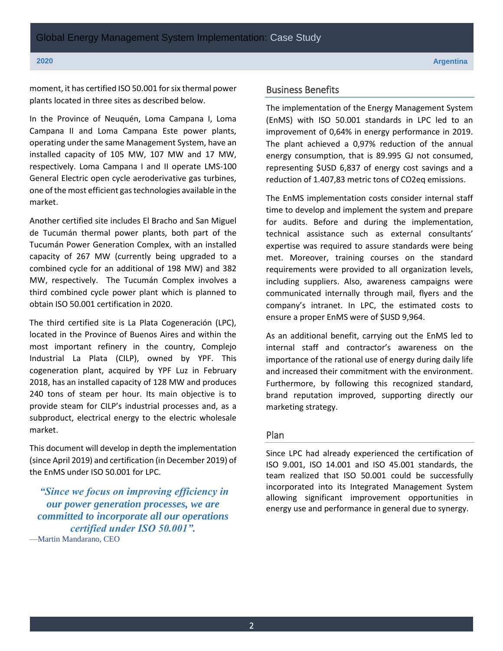moment, it has certified ISO 50.001 for six thermal power plants located in three sites as described below.

In the Province of Neuquén, Loma Campana I, Loma Campana II and Loma Campana Este power plants, operating under the same Management System, have an installed capacity of 105 MW, 107 MW and 17 MW, respectively. Loma Campana I and II operate LMS-100 General Electric open cycle aeroderivative gas turbines, one of the most efficient gas technologies available in the market.

Another certified site includes El Bracho and San Miguel de Tucumán thermal power plants, both part of the Tucumán Power Generation Complex, with an installed capacity of 267 MW (currently being upgraded to a combined cycle for an additional of 198 MW) and 382 MW, respectively. The Tucumán Complex involves a third combined cycle power plant which is planned to obtain ISO 50.001 certification in 2020.

The third certified site is La Plata Cogeneración (LPC), located in the Province of Buenos Aires and within the most important refinery in the country, Complejo Industrial La Plata (CILP), owned by YPF. This cogeneration plant, acquired by YPF Luz in February 2018, has an installed capacity of 128 MW and produces 240 tons of steam per hour. Its main objective is to provide steam for CILP's industrial processes and, as a subproduct, electrical energy to the electric wholesale market.

This document will develop in depth the implementation (since April 2019) and certification (in December 2019) of the EnMS under ISO 50.001 for LPC.

*"Since we focus on improving efficiency in our power generation processes, we are committed to incorporate all our operations certified under ISO 50.001".* —Martin Mandarano, CEO

# Business Benefits

The implementation of the Energy Management System (EnMS) with ISO 50.001 standards in LPC led to an improvement of 0,64% in energy performance in 2019. The plant achieved a 0,97% reduction of the annual energy consumption, that is 89.995 GJ not consumed, representing \$USD 6,837 of energy cost savings and a reduction of 1.407,83 metric tons of CO2eq emissions.

The EnMS implementation costs consider internal staff time to develop and implement the system and prepare for audits. Before and during the implementation, technical assistance such as external consultants' expertise was required to assure standards were being met. Moreover, training courses on the standard requirements were provided to all organization levels, including suppliers. Also, awareness campaigns were communicated internally through mail, flyers and the company's intranet. In LPC, the estimated costs to ensure a proper EnMS were of \$USD 9,964.

As an additional benefit, carrying out the EnMS led to internal staff and contractor's awareness on the importance of the rational use of energy during daily life and increased their commitment with the environment. Furthermore, by following this recognized standard, brand reputation improved, supporting directly our marketing strategy.

# Plan

Since LPC had already experienced the certification of ISO 9.001, ISO 14.001 and ISO 45.001 standards, the team realized that ISO 50.001 could be successfully incorporated into its Integrated Management System allowing significant improvement opportunities in energy use and performance in general due to synergy.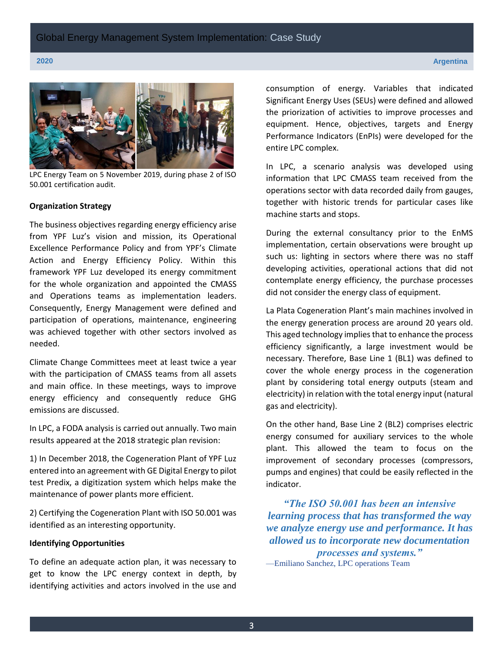

LPC Energy Team on 5 November 2019, during phase 2 of ISO 50.001 certification audit.

### **Organization Strategy**

The business objectives regarding energy efficiency arise from YPF Luz's vision and mission, its Operational Excellence Performance Policy and from YPF's Climate Action and Energy Efficiency Policy. Within this framework YPF Luz developed its energy commitment for the whole organization and appointed the CMASS and Operations teams as implementation leaders. Consequently, Energy Management were defined and participation of operations, maintenance, engineering was achieved together with other sectors involved as needed.

Climate Change Committees meet at least twice a year with the participation of CMASS teams from all assets and main office. In these meetings, ways to improve energy efficiency and consequently reduce GHG emissions are discussed.

In LPC, a FODA analysis is carried out annually. Two main results appeared at the 2018 strategic plan revision:

1) In December 2018, the Cogeneration Plant of YPF Luz entered into an agreement with GE Digital Energy to pilot test Predix, a digitization system which helps make the maintenance of power plants more efficient.

2) Certifying the Cogeneration Plant with ISO 50.001 was identified as an interesting opportunity.

# **Identifying Opportunities**

To define an adequate action plan, it was necessary to get to know the LPC energy context in depth, by identifying activities and actors involved in the use and

consumption of energy. Variables that indicated Significant Energy Uses (SEUs) were defined and allowed the priorization of activities to improve processes and equipment. Hence, objectives, targets and Energy Performance Indicators (EnPIs) were developed for the entire LPC complex.

In LPC, a scenario analysis was developed using information that LPC CMASS team received from the operations sector with data recorded daily from gauges, together with historic trends for particular cases like machine starts and stops.

During the external consultancy prior to the EnMS implementation, certain observations were brought up such us: lighting in sectors where there was no staff developing activities, operational actions that did not contemplate energy efficiency, the purchase processes did not consider the energy class of equipment.

La Plata Cogeneration Plant's main machines involved in the energy generation process are around 20 years old. This aged technology implies that to enhance the process efficiency significantly, a large investment would be necessary. Therefore, Base Line 1 (BL1) was defined to cover the whole energy process in the cogeneration plant by considering total energy outputs (steam and electricity) in relation with the total energy input (natural gas and electricity).

On the other hand, Base Line 2 (BL2) comprises electric energy consumed for auxiliary services to the whole plant. This allowed the team to focus on the improvement of secondary processes (compressors, pumps and engines) that could be easily reflected in the indicator.

*"The ISO 50.001 has been an intensive learning process that has transformed the way we analyze energy use and performance. It has allowed us to incorporate new documentation processes and systems."*  —Emiliano Sanchez, LPC operations Team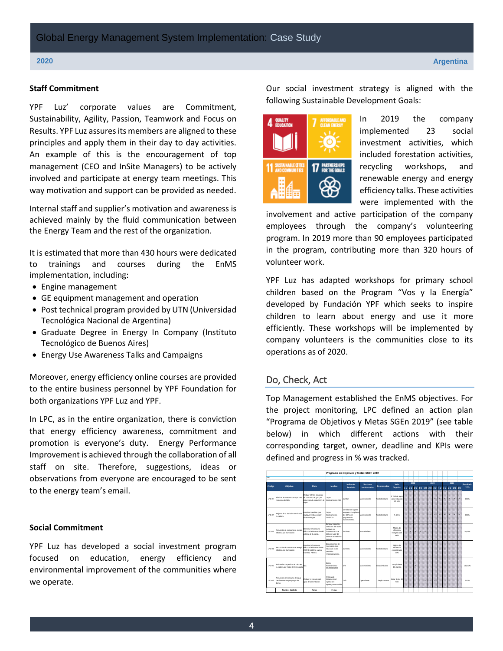### **Staff Commitment**

YPF Luz' corporate values are Commitment, Sustainability, Agility, Passion, Teamwork and Focus on Results. YPF Luz assures its members are aligned to these principles and apply them in their day to day activities. An example of this is the encouragement of top management (CEO and InSite Managers) to be actively involved and participate at energy team meetings. This way motivation and support can be provided as needed.

Internal staff and supplier's motivation and awareness is achieved mainly by the fluid communication between the Energy Team and the rest of the organization.

It is estimated that more than 430 hours were dedicated to trainings and courses during the EnMS implementation, including:

- Engine management
- GE equipment management and operation
- Post technical program provided by UTN (Universidad Tecnológica Nacional de Argentina)
- Graduate Degree in Energy In Company (Instituto Tecnológico de Buenos Aires)
- Energy Use Awareness Talks and Campaigns

Moreover, energy efficiency online courses are provided to the entire business personnel by YPF Foundation for both organizations YPF Luz and YPF.

In LPC, as in the entire organization, there is conviction that energy efficiency awareness, commitment and promotion is everyone's duty. Energy Performance Improvement is achieved through the collaboration of all staff on site. Therefore, suggestions, ideas or observations from everyone are encouraged to be sent to the energy team's email.

## **Social Commitment**

YPF Luz has developed a social investment program focused on education, energy efficiency and environmental improvement of the communities where we operate.

Our social investment strategy is aligned with the following Sustainable Development Goals:



In 2019 the company implemented 23 social investment activities, which included forestation activities, recycling workshops, and renewable energy and energy efficiency talks. These activities were implemented with the

involvement and active participation of the company employees through the company's volunteering program. In 2019 more than 90 employees participated in the program, contributing more than 320 hours of volunteer work.

YPF Luz has adapted workshops for primary school children based on the Program "Vos y la Energía" developed by Fundación YPF which seeks to inspire children to learn about energy and use it more efficiently. These workshops will be implemented by company volunteers is the communities close to its operations as of 2020.

# Do, Check, Act

Top Management established the EnMS objectives. For the project monitoring, LPC defined an action plan "Programa de Objetivos y Metas SGEn 2019" (see table below) in which different actions with their corresponding target, owner, deadline and KPIs were defined and progress in % was tracked.

|        |                                                                                          |                                                                                      | Programa de Objetivos y Metas SGEn 2019                                                                                                  |                                                                                               |               |                   |                                                |      |   |   |   |   |                                     |   |  |      |   |   |   |            |
|--------|------------------------------------------------------------------------------------------|--------------------------------------------------------------------------------------|------------------------------------------------------------------------------------------------------------------------------------------|-----------------------------------------------------------------------------------------------|---------------|-------------------|------------------------------------------------|------|---|---|---|---|-------------------------------------|---|--|------|---|---|---|------------|
| LPC    |                                                                                          |                                                                                      |                                                                                                                                          |                                                                                               |               |                   |                                                |      |   |   |   |   |                                     |   |  |      |   |   |   |            |
| Codigo |                                                                                          | Meta                                                                                 | Medios                                                                                                                                   | Indicador                                                                                     | Sectores      | Responsable       | Valor                                          | 2019 |   |   |   |   | 2020                                |   |  | 2021 |   |   |   | Resultado  |
|        | Objetivo                                                                                 |                                                                                      |                                                                                                                                          | Asociado                                                                                      | Involuntados  |                   | Objetivo                                       |      |   |   |   |   | 10 20 30 40 10 20 30 40 10 20 30 40 |   |  |      |   |   |   | <b>YTD</b> |
| LPC-01 | Eliminar el consumo de vapor para de consumo de gas .por<br>educción de NOx              | Reducir 10 T/h. reduccion<br>reduccion de produccion de Mantenimiento 2022<br>vecor. | Capex                                                                                                                                    | kwh/ton                                                                                       | Mantenimiento | Pineli Emiliano   | O Trift de vicon<br>para reduccion<br>de Nox   |      |   |   |   |   |                                     |   |  |      | œ | 9 | a | 0.00%      |
| LPC.00 | Meioras de la aislacion termica de<br>a nabibina                                         | Disminuir perdides que<br>impliquen reduccion del<br>sistema de cas.                 | Capex<br>Mantenimiento<br>2020/2021                                                                                                      | Cantidad de lugares<br>a reparar, Cumpliento<br>del 100% del<br>sib amanone<br>mantenimiento. | Mantenimiento | Pinelli Emiliano  | A definir                                      |      |   |   |   |   |                                     | w |  |      | э | 9 | a | 0.00%      |
| LPC-03 | Reducción de consumo de energía<br>eléctrica por iluminación                             | Diseminate al consumero<br>elécnico la iluminación del<br>exterior de la planta.     | Cambiar trying Ing<br>analyzing dal toylet<br>da Nasa ron<br>lámoaras LED de<br>160w en lugar de<br>500w de le medicion<br><b>Source</b> | <b>Instrument</b>                                                                             | Montenimiento |                   | Meiora de<br>eficiencia<br>ennostica de<br>wk  |      | × | æ | ю | 淫 |                                     |   |  |      |   |   |   | 30,00%     |
| LPC-04 | Reducción de consumo de energía eléctrico la iluminación en<br>eléctrica por iluminación | Diseminate al estatutato.<br>CCM de caldera, sale de<br>bombas, PEECC.               | Colorar sensor de<br>movimiento para<br>evitar oue esten<br>externed<br>.<br>Imarasasiamente                                             | <b>Instrument</b>                                                                             | Montenimiento | Pinalli Freiliann | Meiora de<br>africaria<br>entegetica de<br>xx% |      |   |   |   |   |                                     |   |  |      |   |   |   |            |
| LPC-05 | Estimacion de perdida de calor en<br>a caldera por medio de terrografia                  | <b>NVA</b>                                                                           | Capex<br>Montenimiento,<br>2019/2020/2020                                                                                                | N/A                                                                                           | Mantenimiento | Di lanni Nicolas  | cumplimiento<br>del objetivo                   |      |   |   |   |   |                                     |   |  |      |   |   |   | 100.00%    |
| LPC-06 | Reduccion del consumo de aqua<br>de alimentación por ouroas del<br>Domo                  | Reducir el consumo de<br>agua de almentacion                                         | <b>Loadingsvin</b><br>diariamente el<br>ingreso del<br>agua/agua contenida                                                               | Tab                                                                                           | Operaciones   | Sergio Lataste    | Baiar de las 20<br>Tech                        |      |   |   |   | × |                                     |   |  |      |   |   |   | 0.00%      |
|        | Nombre, Apellido                                                                         | Firma                                                                                | Fecha                                                                                                                                    |                                                                                               |               |                   |                                                |      |   |   |   |   |                                     |   |  |      |   |   |   |            |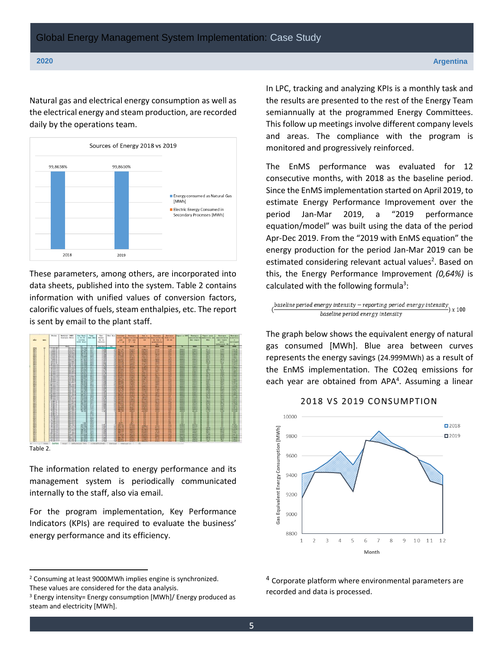Natural gas and electrical energy consumption as well as the electrical energy and steam production, are recorded daily by the operations team.



These parameters, among others, are incorporated into data sheets, published into the system. Table 2 contains information with unified values of conversion factors, calorific values of fuels, steam enthalpies, etc. The report is sent by email to the plant staff.



Table 2.

 $\overline{\phantom{a}}$ 

The information related to energy performance and its management system is periodically communicated internally to the staff, also via email.

For the program implementation, Key Performance Indicators (KPIs) are required to evaluate the business' energy performance and its efficiency.

In LPC, tracking and analyzing KPIs is a monthly task and the results are presented to the rest of the Energy Team semiannually at the programmed Energy Committees. This follow up meetings involve different company levels and areas. The compliance with the program is monitored and progressively reinforced.

The EnMS performance was evaluated for 12 consecutive months, with 2018 as the baseline period. Since the EnMS implementation started on April 2019, to estimate Energy Performance Improvement over the period Jan-Mar 2019, a "2019 performance equation/model" was built using the data of the period Apr-Dec 2019. From the "2019 with EnMS equation" the energy production for the period Jan-Mar 2019 can be estimated considering relevant actual values<sup>2</sup>. Based on this, the Energy Performance Improvement *(0,64%)* is calculated with the following formula<sup>3</sup>:

$$
\underbrace{\text{baseline period energy intensity}-\text{reporting period energy intensity}}_{\text{baseline period energy intensity}}
$$

The graph below shows the equivalent energy of natural gas consumed [MWh]. Blue area between curves represents the energy savings (24.999MWh) as a result of the EnMS implementation. The CO2eq emissions for each year are obtained from APA<sup>4</sup>. Assuming a linear

### 2018 VS 2019 CONSUMPTION



<sup>4</sup> Corporate platform where environmental parameters are recorded and data is processed.

<sup>2</sup> Consuming at least 9000MWh implies engine is synchronized. These values are considered for the data analysis.

<sup>&</sup>lt;sup>3</sup> Energy intensity= Energy consumption [MWh]/ Energy produced as steam and electricity [MWh].